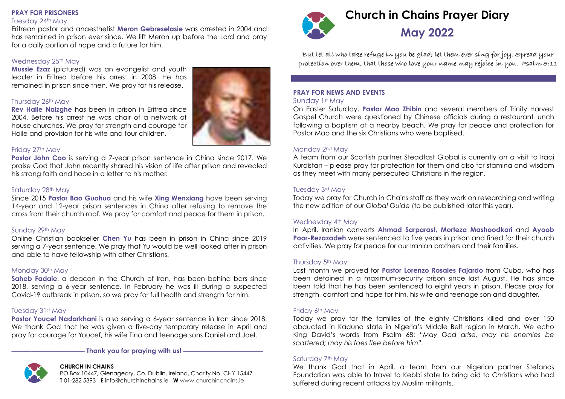#### **PRAY FOR PRISONERS**

#### Tuesday 24th May

Eritrean pastor and anaesthetist **Meron Gebreselasie** was arrested in 2004 and has remained in prison ever since. We lift Meron up before the Lord and pray for a daily portion of hope and a future for him.

## Wednesday 25th May

**Mussie Ezaz** (pictured) was an evangelist and youth leader in Eritrea before his arrest in 2008. He has remained in prison since then. We pray for his release.

## Thursday 26th May

**Rev Haile Naizghe** has been in prison in Eritrea since 2004. Before his arrest he was chair of a network of house churches. We pray for strength and courage for Haile and provision for his wife and four children.

## Friday 27th May

**Pastor John Cao** is serving a 7-year prison sentence in China since 2017. We praise God that John recently shared his vision of life after prison and revealed his strong faith and hope in a letter to his mother.

## Saturday 28th May

Since 2015 **Pastor Bao Guohua** and his wife **Xing Wenxiang** have been serving 14-year and 12-year prison sentences in China after refusing to remove the cross from their church roof. We pray for comfort and peace for them in prison.

## Sunday 29th May

Online Christian bookseller **Chen Yu** has been in prison in China since 2019 serving a 7-year sentence. We pray that Yu would be well looked after in prison and able to have fellowship with other Christians.

## Monday 30th May

**Saheb Fadaie**, a deacon in the Church of Iran, has been behind bars since 2018, serving a 6-year sentence. In February he was ill during a suspected Covid-19 outbreak in prison, so we pray for full health and strength for him.

## Tuesday 31st May

**Pastor Youcef Nadarkhani** is also serving a 6-year sentence in Iran since 2018. We thank God that he was given a five-day temporary release in April and pray for courage for Youcef, his wife Tina and teenage sons Daniel and Joel.

— Thank you for praying with us!

## **CHURCH IN CHAINS**

PO Box 10447, Glenageary, Co. Dublin, Ireland, Charity No. CHY 15447 **T** 01-282 5393 **E** info@churchinchains.ie **W** www.churchinchains.ie





**But let all who take refuge in you be glad; let them ever sing for joy. Spread your protection over them, that those who love your name may rejoice in you. Psalm 5:11**

# **PRAY FOR NEWS AND EVENTS**

## Sunday 1st May

On Easter Saturday, **Pastor Mao Zhibin** and several members of Trinity Harvest Gospel Church were questioned by Chinese officials during a restaurant lunch following a baptism at a nearby beach. We pray for peace and protection for Pastor Mao and the six Christians who were baptised.

## Monday 2nd May

A team from our Scottish partner Steadfast Global is currently on a visit to Iraqi Kurdistan – please pray for protection for them and also for stamina and wisdom as they meet with many persecuted Christians in the region.

#### Tuesday 3rd May

Today we pray for Church in Chains staff as they work on researching and writing the new edition of our *Global Guide* (to be published later this year).

## Wednesday 4<sup>th</sup> May

In April, Iranian converts **Ahmad Sarparast, Morteza Mashoodkari** and **Ayoob Poor-Rezazadeh** were sentenced to five years in prison and fined for their church activities. We pray for peace for our Iranian brothers and their families.

## Thursday 5<sup>th</sup> May

Last month we prayed for **Pastor Lorenzo Rosales Fajardo** from Cuba, who has been detained in a maximum-security prison since last August. He has since been told that he has been sentenced to eight years in prison. Please pray for strength, comfort and hope for him, his wife and teenage son and daughter.

#### Friday 6th May

Today we pray for the families of the eighty Christians killed and over 150 abducted in Kaduna state in Nigeria's Middle Belt region in March. We echo King David's words from Psalm 68: *"May God arise, may his enemies be scattered; may his foes flee before him".*

## Saturday 7<sup>th</sup> May

We thank God that in April, a team from our Nigerian partner Stefanos Foundation was able to travel to Kebbi state to bring aid to Christians who had suffered during recent attacks by Muslim militants.